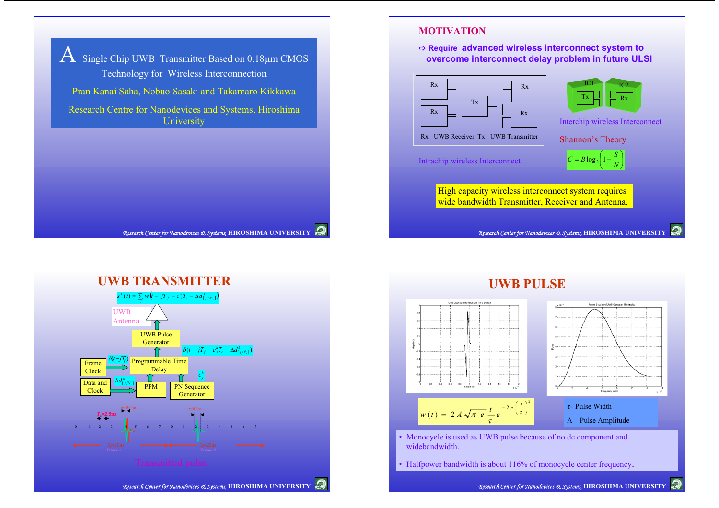$A$  Single Chip UWB Transmitter Based on 0.18µm CMOS Technology for Wireless Interconnection Pran Kanai Saha, Nobuo Sasaki and Takamaro Kikkawa Research Centre for Nanodevices and Systems, Hiroshima **University** 

*Research Center for Nanodevices* & Systems, **HIROSHIMA UNIVERSITY** 

## **MOTIVATION**

B **Require advanced wireless interconnect system to overcome interconnect delay problem in future ULSI**





Interchip wireless Interconnect

Shannon's Theory

Intrachip wireless Interconnect  $C = B \log_2 \left(1 + \frac{S}{N}\right)$ 

High capacity wireless interconnect system requires wide bandwidth Transmitter, Receiver and Antenna.

*Research Center for Nanodevices* & Systems, **HIROSHIMA UNIVERSITY** 





# **UWB PULSE**



• Monocyele is used as UWB pulse because of no dc component and widebandwidth.

• Halfpower bandwidth is about 116% of monocycle center frequency.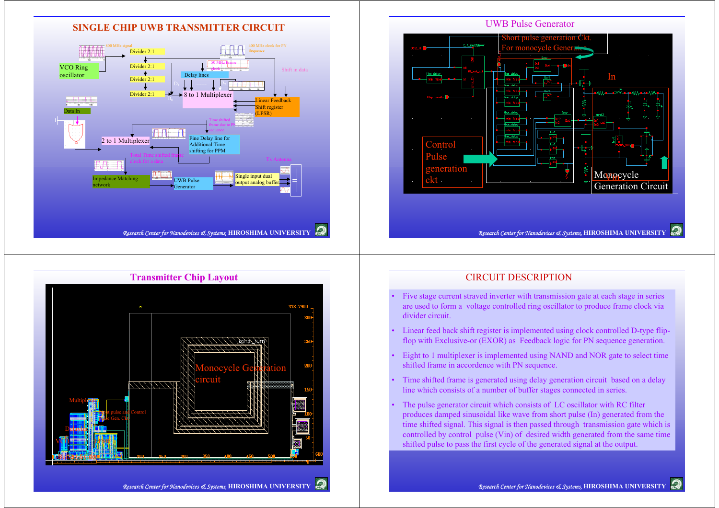

# **Transmitter Chip Layout** Monocycle Gerenation circuitDelaylin eMultiplexer **Input pulse and Control** pulse Gen. Ckt.

VICIO

**Ommuni i ILFSR** 

Buffer\_divide

#### CIRCUIT DESCRIPTION

- • Five stage current straved inverter with transmission gate at each stage in series are used to form a voltage controlled ring oscillator to produce frame clock via divider circuit.
- • Linear feed back shift register is implemented using clock controlled D-type flipflop with Exclusive-or (EXOR) as Feedback logic for PN sequence generation.
- • Eight to 1 multiplexer is implemented using NAND and NOR gate to select time shifted frame in accordence with PN sequence.
- • Time shifted frame is generated using delay generation circuit based on a delay line which consists of a number of buffer stages connected in series.
- • The pulse generator circuit which consists of LC oscillator with RC filter produces damped sinusoidal like wave from short pulse (In) generated from the time shifted signal. This signal is then passed through transmission gate which is controlled by control pulse (Vin) of desired width generated from the same time shifted pulse to pass the first cycle of the generated signal at the output.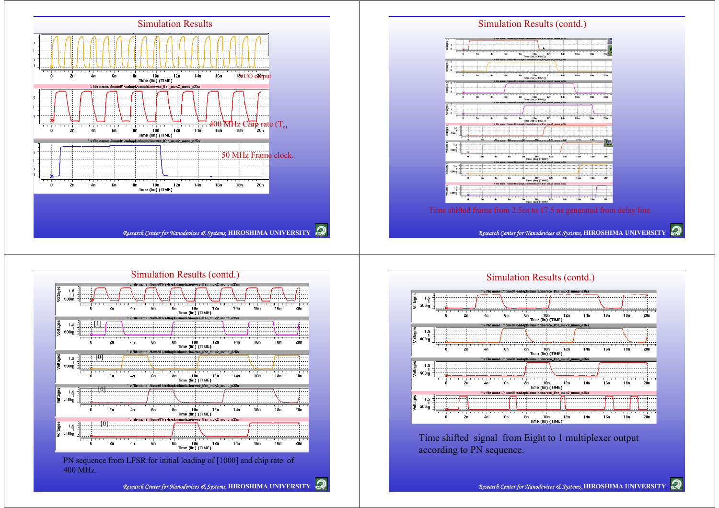



400 MHz.



Time shifted signal from Eight to 1 multiplexer output according to PN sequence.